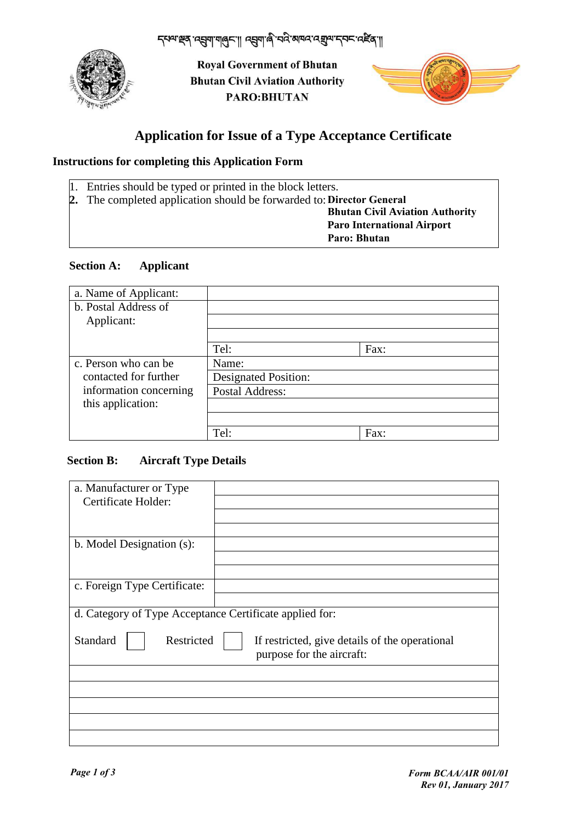

**Royal Government of Bhutan Bhutan Civil Aviation Authority** PARO: BHUTAN



# **Application for Issue of a Type Acceptance Certificate**

### **Instructions for completing this Application Form**

- 1. Entries should be typed or printed in the block letters.
- **2.** The completed application should be forwarded to: **Director General**

**Bhutan Civil Aviation Authority Paro International Airport Paro: Bhutan**

#### **Section A: Applicant**

| a. Name of Applicant:  |                             |      |
|------------------------|-----------------------------|------|
| b. Postal Address of   |                             |      |
| Applicant:             |                             |      |
|                        |                             |      |
|                        | Tel:                        | Fax: |
| c. Person who can be   | Name:                       |      |
| contacted for further  | <b>Designated Position:</b> |      |
| information concerning | <b>Postal Address:</b>      |      |
| this application:      |                             |      |
|                        |                             |      |
|                        | Tel:                        | Fax: |

#### **Section B: Aircraft Type Details**

| a. Manufacturer or Type                                 |                                                                             |  |
|---------------------------------------------------------|-----------------------------------------------------------------------------|--|
| Certificate Holder:                                     |                                                                             |  |
|                                                         |                                                                             |  |
|                                                         |                                                                             |  |
| b. Model Designation (s):                               |                                                                             |  |
|                                                         |                                                                             |  |
|                                                         |                                                                             |  |
| c. Foreign Type Certificate:                            |                                                                             |  |
|                                                         |                                                                             |  |
| d. Category of Type Acceptance Certificate applied for: |                                                                             |  |
| Standard<br>Restricted                                  | If restricted, give details of the operational<br>purpose for the aircraft: |  |
|                                                         |                                                                             |  |
|                                                         |                                                                             |  |
|                                                         |                                                                             |  |
|                                                         |                                                                             |  |
|                                                         |                                                                             |  |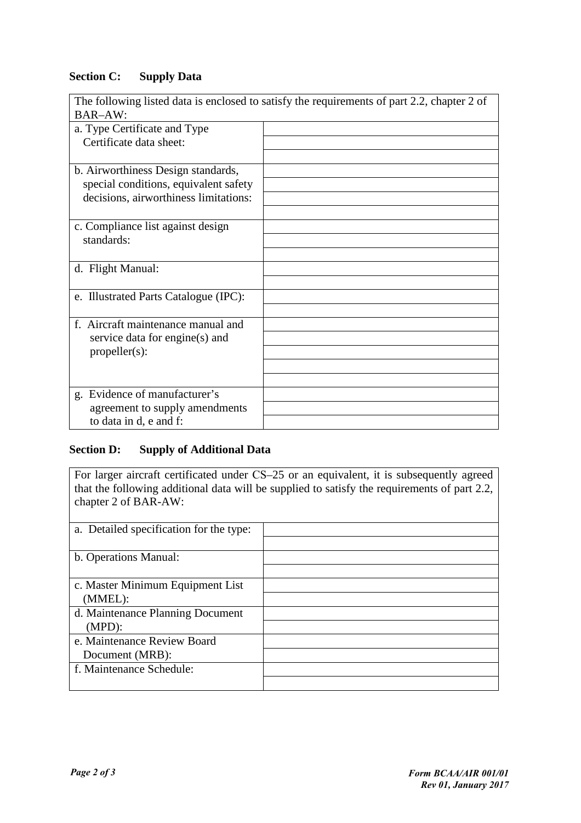# **Section C: Supply Data**

| The following listed data is enclosed to satisfy the requirements of part 2.2, chapter 2 of |  |  |
|---------------------------------------------------------------------------------------------|--|--|
| <b>BAR-AW:</b>                                                                              |  |  |
| a. Type Certificate and Type                                                                |  |  |
| Certificate data sheet:                                                                     |  |  |
|                                                                                             |  |  |
| b. Airworthiness Design standards,                                                          |  |  |
| special conditions, equivalent safety                                                       |  |  |
| decisions, airworthiness limitations:                                                       |  |  |
|                                                                                             |  |  |
| c. Compliance list against design                                                           |  |  |
| standards:                                                                                  |  |  |
|                                                                                             |  |  |
| d. Flight Manual:                                                                           |  |  |
|                                                                                             |  |  |
| e. Illustrated Parts Catalogue (IPC):                                                       |  |  |
|                                                                                             |  |  |
| f. Aircraft maintenance manual and                                                          |  |  |
| service data for engine(s) and                                                              |  |  |
| $propeller(s)$ :                                                                            |  |  |
|                                                                                             |  |  |
|                                                                                             |  |  |
| g. Evidence of manufacturer's                                                               |  |  |
| agreement to supply amendments                                                              |  |  |
| to data in d, e and f:                                                                      |  |  |

## **Section D: Supply of Additional Data**

For larger aircraft certificated under CS–25 or an equivalent, it is subsequently agreed that the following additional data will be supplied to satisfy the requirements of part 2.2, chapter 2 of BAR-AW:

| a. Detailed specification for the type: |  |
|-----------------------------------------|--|
|                                         |  |
| b. Operations Manual:                   |  |
|                                         |  |
| c. Master Minimum Equipment List        |  |
| (MMEL):                                 |  |
| d. Maintenance Planning Document        |  |
| $(MPD)$ :                               |  |
| e. Maintenance Review Board             |  |
| Document (MRB):                         |  |
| f. Maintenance Schedule:                |  |
|                                         |  |